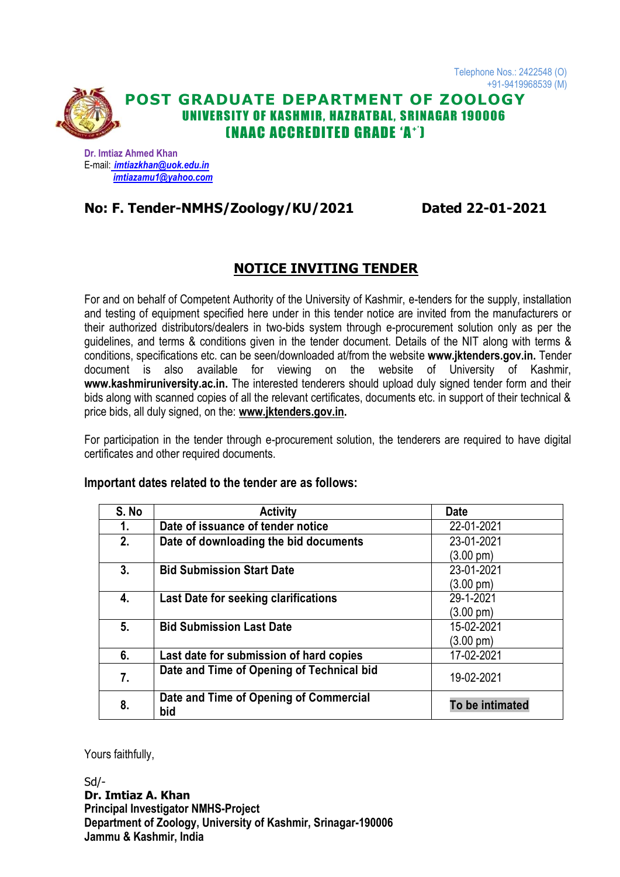

### **POST GRADUATE DEPARTMENT OF ZOOLOGY** UNIVERSITY OF KASHMIR, HAZRATBAL, SRINAGAR 190006 (NAAC ACCREDITED GRADE 'A + ')

**Dr. Imtiaz Ahmed Khan** E-mail: *[imtiazkhan@uok.edu.in](mailto:imtiazkhan@uok.edu.in) [imtiazamu1@yahoo.com](mailto:imtiazamu1@yahoo.com)*

### **No: F. Tender-NMHS/Zoology/KU/2021 Dated 22-01-2021**

### **NOTICE INVITING TENDER**

For and on behalf of Competent Authority of the University of Kashmir, e-tenders for the supply, installation and testing of equipment specified here under in this tender notice are invited from the manufacturers or their authorized distributors/dealers in two-bids system through e-procurement solution only as per the guidelines, and terms & conditions given in the tender document. Details of the NIT along with terms & conditions, specifications etc. can be seen/downloaded at/from the website **www.jktenders.gov.in.** Tender document is also available for viewing on the website of University of Kashmir, **[www.kashmiruniversity.ac.in.](http://www.kashmiruniversity.ac.in/)** The interested tenderers should upload duly signed tender form and their bids along with scanned copies of all the relevant certificates, documents etc. in support of their technical & price bids, all duly signed, on the: **[www.jktenders.gov.in.](http://www.jktenders.gov.in/)**

For participation in the tender through e-procurement solution, the tenderers are required to have digital certificates and other required documents.

#### **Important dates related to the tender are as follows:**

| S. No | <b>Activity</b>                               | <b>Date</b>         |
|-------|-----------------------------------------------|---------------------|
| 1.    | Date of issuance of tender notice             | 22-01-2021          |
| 2.    | Date of downloading the bid documents         | 23-01-2021          |
|       |                                               | $(3.00 \text{ pm})$ |
| 3.    | <b>Bid Submission Start Date</b>              | 23-01-2021          |
|       |                                               | $(3.00 \text{ pm})$ |
| 4.    | <b>Last Date for seeking clarifications</b>   | 29-1-2021           |
|       |                                               | $(3.00 \text{ pm})$ |
| 5.    | <b>Bid Submission Last Date</b>               | 15-02-2021          |
|       |                                               | (3.00 pm)           |
| 6.    | Last date for submission of hard copies       | 17-02-2021          |
| 7.    | Date and Time of Opening of Technical bid     | 19-02-2021          |
| 8.    | Date and Time of Opening of Commercial<br>bid | To be intimated     |

Yours faithfully,

Sd/- **Dr. Imtiaz A. Khan Principal Investigator NMHS-Project Department of Zoology, University of Kashmir, Srinagar-190006 Jammu & Kashmir, India**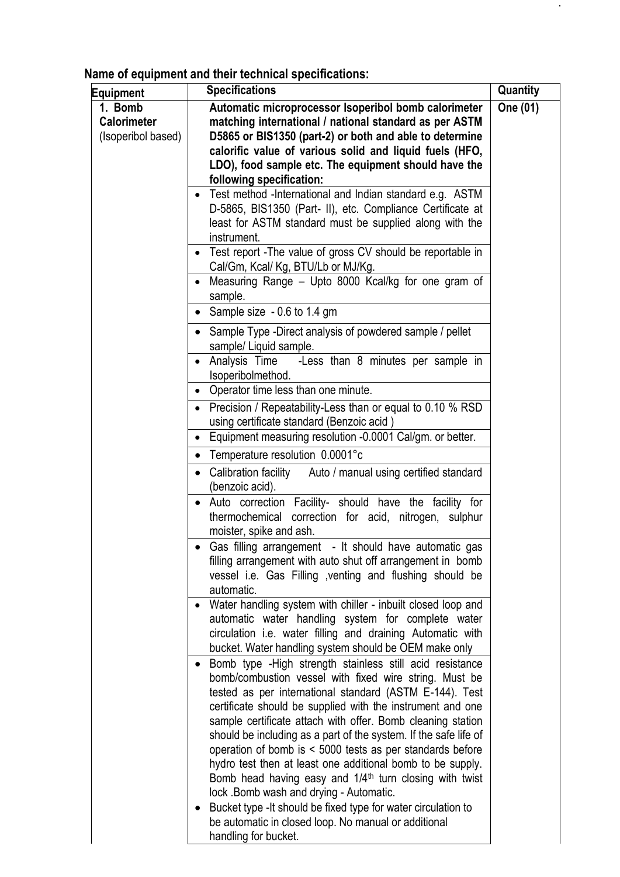**Name of equipment and their technical specifications:**

| <b>Equipment</b>                                    | <b>Specifications</b>                                                                                                                                                                                                                                                                                                                                                                                                                                                                                                                                                                                                                                                                                                                                                                        | Quantity |
|-----------------------------------------------------|----------------------------------------------------------------------------------------------------------------------------------------------------------------------------------------------------------------------------------------------------------------------------------------------------------------------------------------------------------------------------------------------------------------------------------------------------------------------------------------------------------------------------------------------------------------------------------------------------------------------------------------------------------------------------------------------------------------------------------------------------------------------------------------------|----------|
| 1. Bomb<br><b>Calorimeter</b><br>(Isoperibol based) | Automatic microprocessor Isoperibol bomb calorimeter<br>matching international / national standard as per ASTM<br>D5865 or BIS1350 (part-2) or both and able to determine<br>calorific value of various solid and liquid fuels (HFO,<br>LDO), food sample etc. The equipment should have the<br>following specification:                                                                                                                                                                                                                                                                                                                                                                                                                                                                     | One (01) |
|                                                     | Test method -International and Indian standard e.g. ASTM<br>D-5865, BIS1350 (Part- II), etc. Compliance Certificate at<br>least for ASTM standard must be supplied along with the<br>instrument.                                                                                                                                                                                                                                                                                                                                                                                                                                                                                                                                                                                             |          |
|                                                     | Test report - The value of gross CV should be reportable in<br>٠<br>Cal/Gm, Kcal/ Kg, BTU/Lb or MJ/Kg.                                                                                                                                                                                                                                                                                                                                                                                                                                                                                                                                                                                                                                                                                       |          |
|                                                     | Measuring Range – Upto 8000 Kcal/kg for one gram of<br>sample.                                                                                                                                                                                                                                                                                                                                                                                                                                                                                                                                                                                                                                                                                                                               |          |
|                                                     | • Sample size $-0.6$ to 1.4 gm                                                                                                                                                                                                                                                                                                                                                                                                                                                                                                                                                                                                                                                                                                                                                               |          |
|                                                     | Sample Type -Direct analysis of powdered sample / pellet<br>sample/ Liquid sample.                                                                                                                                                                                                                                                                                                                                                                                                                                                                                                                                                                                                                                                                                                           |          |
|                                                     | -Less than 8 minutes per sample in<br>Analysis Time<br>Isoperibolmethod.                                                                                                                                                                                                                                                                                                                                                                                                                                                                                                                                                                                                                                                                                                                     |          |
|                                                     | Operator time less than one minute.<br>٠                                                                                                                                                                                                                                                                                                                                                                                                                                                                                                                                                                                                                                                                                                                                                     |          |
|                                                     | Precision / Repeatability-Less than or equal to 0.10 % RSD<br>using certificate standard (Benzoic acid)                                                                                                                                                                                                                                                                                                                                                                                                                                                                                                                                                                                                                                                                                      |          |
|                                                     | • Equipment measuring resolution -0.0001 Cal/gm. or better.                                                                                                                                                                                                                                                                                                                                                                                                                                                                                                                                                                                                                                                                                                                                  |          |
|                                                     | Temperature resolution 0.0001°c<br>Calibration facility<br>Auto / manual using certified standard<br>(benzoic acid).                                                                                                                                                                                                                                                                                                                                                                                                                                                                                                                                                                                                                                                                         |          |
|                                                     | Auto correction Facility- should have the facility for<br>thermochemical correction for acid, nitrogen, sulphur<br>moister, spike and ash.                                                                                                                                                                                                                                                                                                                                                                                                                                                                                                                                                                                                                                                   |          |
|                                                     | Gas filling arrangement - It should have automatic gas<br>filling arrangement with auto shut off arrangement in bomb<br>vessel i.e. Gas Filling , venting and flushing should be<br>automatic.                                                                                                                                                                                                                                                                                                                                                                                                                                                                                                                                                                                               |          |
|                                                     | Water handling system with chiller - inbuilt closed loop and<br>٠<br>automatic water handling system for complete water<br>circulation i.e. water filling and draining Automatic with<br>bucket. Water handling system should be OEM make only                                                                                                                                                                                                                                                                                                                                                                                                                                                                                                                                               |          |
|                                                     | Bomb type - High strength stainless still acid resistance<br>$\bullet$<br>bomb/combustion vessel with fixed wire string. Must be<br>tested as per international standard (ASTM E-144). Test<br>certificate should be supplied with the instrument and one<br>sample certificate attach with offer. Bomb cleaning station<br>should be including as a part of the system. If the safe life of<br>operation of bomb is < 5000 tests as per standards before<br>hydro test then at least one additional bomb to be supply.<br>Bomb head having easy and 1/4 <sup>th</sup> turn closing with twist<br>lock . Bomb wash and drying - Automatic.<br>Bucket type - It should be fixed type for water circulation to<br>be automatic in closed loop. No manual or additional<br>handling for bucket. |          |

 $\hat{\mathcal{L}}$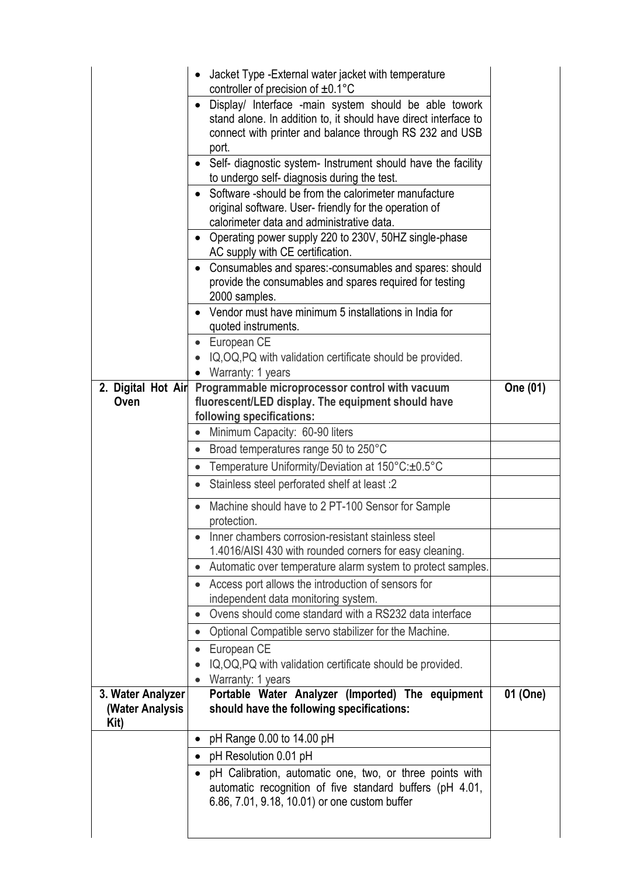|                                              | Jacket Type - External water jacket with temperature<br>controller of precision of $\pm 0.1^{\circ}$ C<br>Display/ Interface -main system should be able towork<br>stand alone. In addition to, it should have direct interface to<br>connect with printer and balance through RS 232 and USB<br>port.<br>• Self- diagnostic system- Instrument should have the facility<br>to undergo self- diagnosis during the test.<br>• Software -should be from the calorimeter manufacture<br>original software. User-friendly for the operation of<br>calorimeter data and administrative data.<br>• Operating power supply 220 to 230V, 50HZ single-phase<br>AC supply with CE certification.<br>• Consumables and spares:-consumables and spares: should |          |
|----------------------------------------------|----------------------------------------------------------------------------------------------------------------------------------------------------------------------------------------------------------------------------------------------------------------------------------------------------------------------------------------------------------------------------------------------------------------------------------------------------------------------------------------------------------------------------------------------------------------------------------------------------------------------------------------------------------------------------------------------------------------------------------------------------|----------|
|                                              | provide the consumables and spares required for testing<br>2000 samples.<br>• Vendor must have minimum 5 installations in India for<br>quoted instruments.<br>• European CE<br>IQ, OQ, PQ with validation certificate should be provided.<br>• Warranty: 1 years                                                                                                                                                                                                                                                                                                                                                                                                                                                                                   |          |
| 2. Digital Hot Air                           | Programmable microprocessor control with vacuum                                                                                                                                                                                                                                                                                                                                                                                                                                                                                                                                                                                                                                                                                                    | One (01) |
| Oven                                         | fluorescent/LED display. The equipment should have<br>following specifications:                                                                                                                                                                                                                                                                                                                                                                                                                                                                                                                                                                                                                                                                    |          |
|                                              | Minimum Capacity: 60-90 liters                                                                                                                                                                                                                                                                                                                                                                                                                                                                                                                                                                                                                                                                                                                     |          |
|                                              | Broad temperatures range 50 to 250°C<br>$\bullet$                                                                                                                                                                                                                                                                                                                                                                                                                                                                                                                                                                                                                                                                                                  |          |
|                                              | Temperature Uniformity/Deviation at 150°C:±0.5°C<br>$\bullet$                                                                                                                                                                                                                                                                                                                                                                                                                                                                                                                                                                                                                                                                                      |          |
|                                              | Stainless steel perforated shelf at least :2                                                                                                                                                                                                                                                                                                                                                                                                                                                                                                                                                                                                                                                                                                       |          |
|                                              | Machine should have to 2 PT-100 Sensor for Sample<br>protection.                                                                                                                                                                                                                                                                                                                                                                                                                                                                                                                                                                                                                                                                                   |          |
|                                              | Inner chambers corrosion-resistant stainless steel<br>1.4016/AISI 430 with rounded corners for easy cleaning.                                                                                                                                                                                                                                                                                                                                                                                                                                                                                                                                                                                                                                      |          |
|                                              | Automatic over temperature alarm system to protect samples.                                                                                                                                                                                                                                                                                                                                                                                                                                                                                                                                                                                                                                                                                        |          |
|                                              | Access port allows the introduction of sensors for                                                                                                                                                                                                                                                                                                                                                                                                                                                                                                                                                                                                                                                                                                 |          |
|                                              | independent data monitoring system.                                                                                                                                                                                                                                                                                                                                                                                                                                                                                                                                                                                                                                                                                                                |          |
|                                              | Ovens should come standard with a RS232 data interface                                                                                                                                                                                                                                                                                                                                                                                                                                                                                                                                                                                                                                                                                             |          |
|                                              | Optional Compatible servo stabilizer for the Machine.                                                                                                                                                                                                                                                                                                                                                                                                                                                                                                                                                                                                                                                                                              |          |
|                                              | European CE<br>$\bullet$<br>IQ, OQ, PQ with validation certificate should be provided.                                                                                                                                                                                                                                                                                                                                                                                                                                                                                                                                                                                                                                                             |          |
|                                              | Warranty: 1 years                                                                                                                                                                                                                                                                                                                                                                                                                                                                                                                                                                                                                                                                                                                                  |          |
| 3. Water Analyzer<br>(Water Analysis<br>Kit) | Portable Water Analyzer (Imported) The equipment<br>should have the following specifications:                                                                                                                                                                                                                                                                                                                                                                                                                                                                                                                                                                                                                                                      | 01 (One) |
|                                              | pH Range 0.00 to 14.00 pH                                                                                                                                                                                                                                                                                                                                                                                                                                                                                                                                                                                                                                                                                                                          |          |
|                                              | pH Resolution 0.01 pH                                                                                                                                                                                                                                                                                                                                                                                                                                                                                                                                                                                                                                                                                                                              |          |
|                                              | pH Calibration, automatic one, two, or three points with<br>automatic recognition of five standard buffers (pH 4.01,<br>6.86, 7.01, 9.18, 10.01) or one custom buffer                                                                                                                                                                                                                                                                                                                                                                                                                                                                                                                                                                              |          |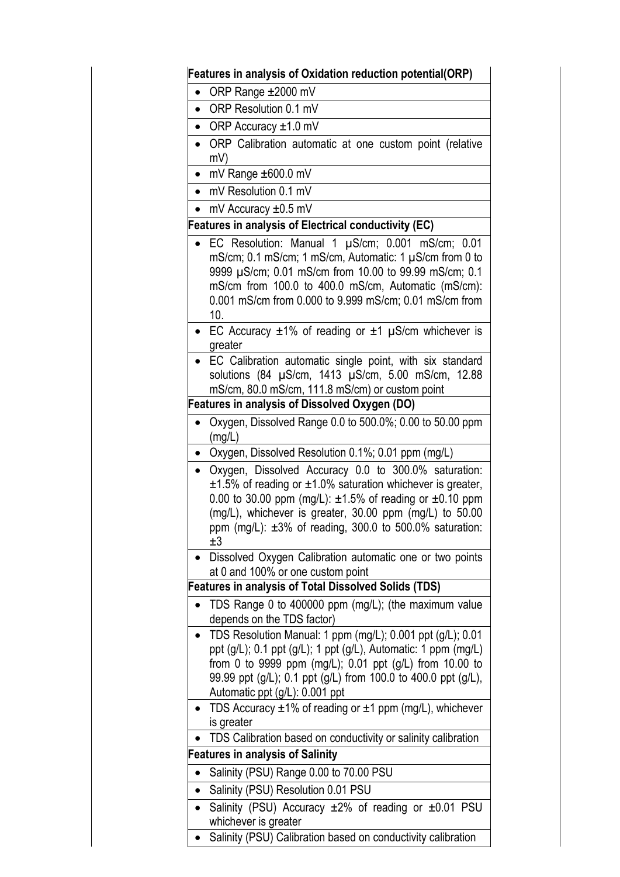| $\bullet$ | ORP Range ±2000 mV                                                                                                                                                                                                                                                                                                                     |
|-----------|----------------------------------------------------------------------------------------------------------------------------------------------------------------------------------------------------------------------------------------------------------------------------------------------------------------------------------------|
| $\bullet$ | ORP Resolution 0.1 mV                                                                                                                                                                                                                                                                                                                  |
| $\bullet$ | ORP Accuracy $\pm 1.0$ mV                                                                                                                                                                                                                                                                                                              |
| $\bullet$ | ORP Calibration automatic at one custom point (relative                                                                                                                                                                                                                                                                                |
|           | mV)                                                                                                                                                                                                                                                                                                                                    |
| $\bullet$ | mV Range ±600.0 mV                                                                                                                                                                                                                                                                                                                     |
| $\bullet$ | mV Resolution 0.1 mV                                                                                                                                                                                                                                                                                                                   |
| $\bullet$ | mV Accuracy $\pm 0.5$ mV                                                                                                                                                                                                                                                                                                               |
|           | <b>Features in analysis of Electrical conductivity (EC)</b>                                                                                                                                                                                                                                                                            |
|           | EC Resolution: Manual 1 µS/cm; 0.001 mS/cm; 0.01<br>mS/cm; 0.1 mS/cm; 1 mS/cm, Automatic: 1 µS/cm from 0 to<br>9999 µS/cm; 0.01 mS/cm from 10.00 to 99.99 mS/cm; 0.1<br>mS/cm from 100.0 to 400.0 mS/cm, Automatic (mS/cm):<br>0.001 mS/cm from 0.000 to 9.999 mS/cm; 0.01 mS/cm from<br>10.                                           |
|           | EC Accuracy $\pm 1\%$ of reading or $\pm 1$ µS/cm whichever is<br>greater                                                                                                                                                                                                                                                              |
|           | EC Calibration automatic single point, with six standard<br>solutions (84 µS/cm, 1413 µS/cm, 5.00 mS/cm, 12.88<br>mS/cm, 80.0 mS/cm, 111.8 mS/cm) or custom point                                                                                                                                                                      |
|           | <b>Features in analysis of Dissolved Oxygen (DO)</b>                                                                                                                                                                                                                                                                                   |
|           | Oxygen, Dissolved Range 0.0 to 500.0%; 0.00 to 50.00 ppm<br>(mg/L)                                                                                                                                                                                                                                                                     |
| $\bullet$ | Oxygen, Dissolved Resolution 0.1%; 0.01 ppm (mg/L)                                                                                                                                                                                                                                                                                     |
| $\bullet$ | Oxygen, Dissolved Accuracy 0.0 to 300.0% saturation:<br>$\pm 1.5$ % of reading or $\pm 1.0$ % saturation whichever is greater,<br>0.00 to 30.00 ppm (mg/L): $\pm 1.5$ % of reading or $\pm 0.10$ ppm<br>(mg/L), whichever is greater, 30.00 ppm (mg/L) to 50.00<br>ppm (mg/L): $\pm 3\%$ of reading, 300.0 to 500.0% saturation:<br>±3 |
|           | Dissolved Oxygen Calibration automatic one or two points<br>at 0 and 100% or one custom point                                                                                                                                                                                                                                          |
|           | <b>Features in analysis of Total Dissolved Solids (TDS)</b>                                                                                                                                                                                                                                                                            |
|           | TDS Range 0 to 400000 ppm (mg/L); (the maximum value                                                                                                                                                                                                                                                                                   |
|           | depends on the TDS factor)                                                                                                                                                                                                                                                                                                             |
|           | • TDS Resolution Manual: 1 ppm (mg/L); 0.001 ppt (g/L); 0.01                                                                                                                                                                                                                                                                           |
|           | ppt (g/L); 0.1 ppt (g/L); 1 ppt (g/L), Automatic: 1 ppm (mg/L)                                                                                                                                                                                                                                                                         |
|           | from 0 to 9999 ppm (mg/L); $0.01$ ppt (g/L) from 10.00 to                                                                                                                                                                                                                                                                              |
|           | 99.99 ppt (g/L); 0.1 ppt (g/L) from 100.0 to 400.0 ppt (g/L),                                                                                                                                                                                                                                                                          |
|           | Automatic ppt (g/L): 0.001 ppt                                                                                                                                                                                                                                                                                                         |
|           | TDS Accuracy $\pm 1\%$ of reading or $\pm 1$ ppm (mg/L), whichever                                                                                                                                                                                                                                                                     |
|           | is greater                                                                                                                                                                                                                                                                                                                             |
|           | TDS Calibration based on conductivity or salinity calibration                                                                                                                                                                                                                                                                          |
|           | <b>Features in analysis of Salinity</b>                                                                                                                                                                                                                                                                                                |
| $\bullet$ | Salinity (PSU) Range 0.00 to 70.00 PSU                                                                                                                                                                                                                                                                                                 |
| $\bullet$ | Salinity (PSU) Resolution 0.01 PSU                                                                                                                                                                                                                                                                                                     |
| $\bullet$ | Salinity (PSU) Accuracy $\pm 2\%$ of reading or $\pm 0.01$ PSU<br>whichever is greater                                                                                                                                                                                                                                                 |
|           | Salinity (PSU) Calibration based on conductivity calibration                                                                                                                                                                                                                                                                           |
|           |                                                                                                                                                                                                                                                                                                                                        |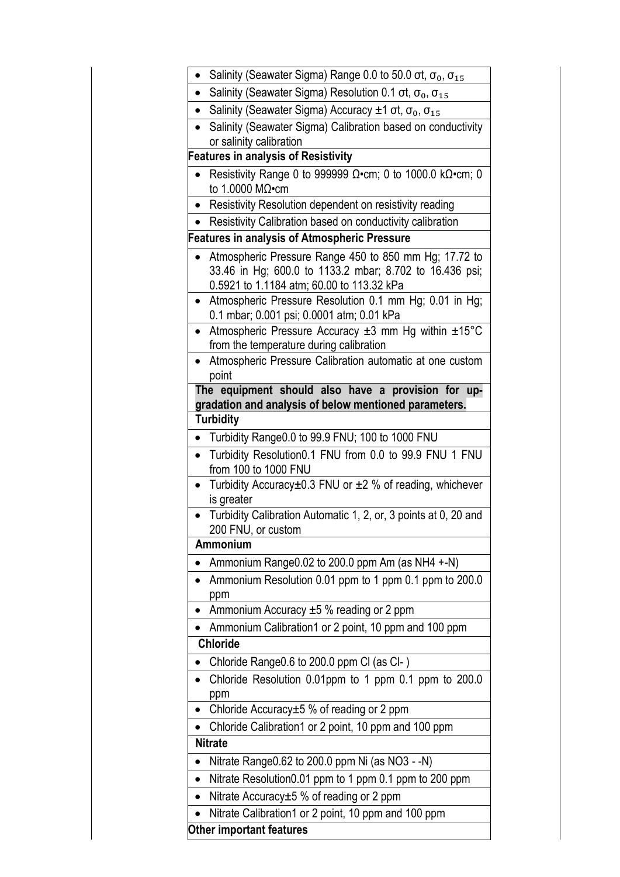|           | Salinity (Seawater Sigma) Range 0.0 to 50.0 ot, $\sigma_0$ , $\sigma_{15}$                                                                                    |
|-----------|---------------------------------------------------------------------------------------------------------------------------------------------------------------|
|           | Salinity (Seawater Sigma) Resolution 0.1 ot, $\sigma_0$ , $\sigma_{15}$                                                                                       |
|           | Salinity (Seawater Sigma) Accuracy $\pm 1$ ot, $\sigma_0$ , $\sigma_{15}$                                                                                     |
| $\bullet$ | Salinity (Seawater Sigma) Calibration based on conductivity                                                                                                   |
|           | or salinity calibration                                                                                                                                       |
|           | <b>Features in analysis of Resistivity</b>                                                                                                                    |
|           | Resistivity Range 0 to 999999 $\Omega$ •cm; 0 to 1000.0 k $\Omega$ •cm; 0<br>to 1.0000 M $\Omega$ •cm                                                         |
|           | • Resistivity Resolution dependent on resistivity reading                                                                                                     |
|           | Resistivity Calibration based on conductivity calibration                                                                                                     |
|           | <b>Features in analysis of Atmospheric Pressure</b>                                                                                                           |
|           | Atmospheric Pressure Range 450 to 850 mm Hg; 17.72 to<br>33.46 in Hg; 600.0 to 1133.2 mbar; 8.702 to 16.436 psi;<br>0.5921 to 1.1184 atm; 60.00 to 113.32 kPa |
|           | Atmospheric Pressure Resolution 0.1 mm Hg; 0.01 in Hg;<br>0.1 mbar; 0.001 psi; 0.0001 atm; 0.01 kPa                                                           |
|           | Atmospheric Pressure Accuracy $\pm 3$ mm Hg within $\pm 15^{\circ}$ C<br>from the temperature during calibration                                              |
| $\bullet$ | Atmospheric Pressure Calibration automatic at one custom<br>point                                                                                             |
|           | The equipment should also have a provision for up-<br>gradation and analysis of below mentioned parameters.                                                   |
|           | <b>Turbidity</b>                                                                                                                                              |
|           | Turbidity Range0.0 to 99.9 FNU; 100 to 1000 FNU                                                                                                               |
| $\bullet$ | Turbidity Resolution0.1 FNU from 0.0 to 99.9 FNU 1 FNU<br>from 100 to 1000 FNU                                                                                |
| $\bullet$ | Turbidity Accuracy $\pm$ 0.3 FNU or $\pm$ 2 % of reading, whichever<br>is greater                                                                             |
|           | Turbidity Calibration Automatic 1, 2, or, 3 points at 0, 20 and<br>200 FNU, or custom                                                                         |
|           | Ammonium                                                                                                                                                      |
|           | Ammonium Range0.02 to 200.0 ppm Am (as NH4 +-N)                                                                                                               |
|           | Ammonium Resolution 0.01 ppm to 1 ppm 0.1 ppm to 200.0<br>ppm                                                                                                 |
|           | Ammonium Accuracy $\pm 5$ % reading or 2 ppm                                                                                                                  |
|           | Ammonium Calibration1 or 2 point, 10 ppm and 100 ppm                                                                                                          |
|           | <b>Chloride</b>                                                                                                                                               |
|           | Chloride Range0.6 to 200.0 ppm Cl (as Cl-)                                                                                                                    |
|           | Chloride Resolution 0.01ppm to 1 ppm 0.1 ppm to 200.0<br>ppm                                                                                                  |
|           | Chloride Accuracy±5 % of reading or 2 ppm                                                                                                                     |
|           | Chloride Calibration1 or 2 point, 10 ppm and 100 ppm                                                                                                          |
|           | <b>Nitrate</b>                                                                                                                                                |
|           | Nitrate Range0.62 to 200.0 ppm Ni (as NO3 - -N)                                                                                                               |
|           | Nitrate Resolution0.01 ppm to 1 ppm 0.1 ppm to 200 ppm                                                                                                        |
| $\bullet$ | Nitrate Accuracy $±5$ % of reading or 2 ppm                                                                                                                   |
|           | Nitrate Calibration1 or 2 point, 10 ppm and 100 ppm                                                                                                           |
|           | Other important features                                                                                                                                      |
|           |                                                                                                                                                               |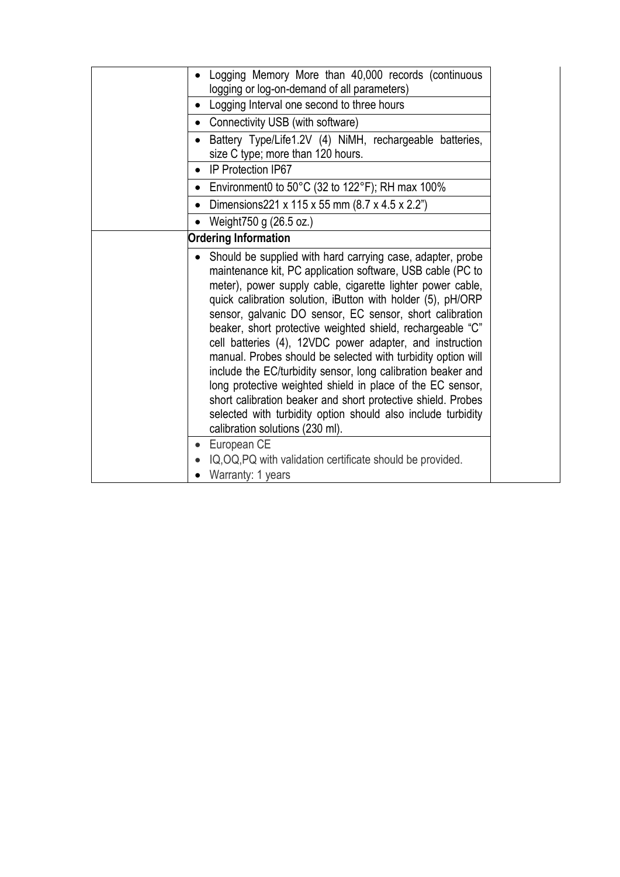| Logging Memory More than 40,000 records (continuous                                                                                                                                                                                                                                                                                                                                                                                                                                                                                                                                                                                                                                                                                                                                                          |
|--------------------------------------------------------------------------------------------------------------------------------------------------------------------------------------------------------------------------------------------------------------------------------------------------------------------------------------------------------------------------------------------------------------------------------------------------------------------------------------------------------------------------------------------------------------------------------------------------------------------------------------------------------------------------------------------------------------------------------------------------------------------------------------------------------------|
| logging or log-on-demand of all parameters)                                                                                                                                                                                                                                                                                                                                                                                                                                                                                                                                                                                                                                                                                                                                                                  |
| Logging Interval one second to three hours                                                                                                                                                                                                                                                                                                                                                                                                                                                                                                                                                                                                                                                                                                                                                                   |
| Connectivity USB (with software)                                                                                                                                                                                                                                                                                                                                                                                                                                                                                                                                                                                                                                                                                                                                                                             |
| Battery Type/Life1.2V (4) NiMH, rechargeable batteries,                                                                                                                                                                                                                                                                                                                                                                                                                                                                                                                                                                                                                                                                                                                                                      |
| size C type; more than 120 hours.                                                                                                                                                                                                                                                                                                                                                                                                                                                                                                                                                                                                                                                                                                                                                                            |
| IP Protection IP67                                                                                                                                                                                                                                                                                                                                                                                                                                                                                                                                                                                                                                                                                                                                                                                           |
| Environment0 to $50^{\circ}$ C (32 to 122 $^{\circ}$ F); RH max 100%                                                                                                                                                                                                                                                                                                                                                                                                                                                                                                                                                                                                                                                                                                                                         |
| Dimensions221 x 115 x 55 mm (8.7 x 4.5 x 2.2")                                                                                                                                                                                                                                                                                                                                                                                                                                                                                                                                                                                                                                                                                                                                                               |
| Weight750 g (26.5 oz.)                                                                                                                                                                                                                                                                                                                                                                                                                                                                                                                                                                                                                                                                                                                                                                                       |
| <b>Ordering Information</b>                                                                                                                                                                                                                                                                                                                                                                                                                                                                                                                                                                                                                                                                                                                                                                                  |
| Should be supplied with hard carrying case, adapter, probe<br>maintenance kit, PC application software, USB cable (PC to<br>meter), power supply cable, cigarette lighter power cable,<br>quick calibration solution, iButton with holder (5), pH/ORP<br>sensor, galvanic DO sensor, EC sensor, short calibration<br>beaker, short protective weighted shield, rechargeable "C"<br>cell batteries (4), 12VDC power adapter, and instruction<br>manual. Probes should be selected with turbidity option will<br>include the EC/turbidity sensor, long calibration beaker and<br>long protective weighted shield in place of the EC sensor,<br>short calibration beaker and short protective shield. Probes<br>selected with turbidity option should also include turbidity<br>calibration solutions (230 ml). |
| European CE                                                                                                                                                                                                                                                                                                                                                                                                                                                                                                                                                                                                                                                                                                                                                                                                  |
| IQ, OQ, PQ with validation certificate should be provided.                                                                                                                                                                                                                                                                                                                                                                                                                                                                                                                                                                                                                                                                                                                                                   |
| Warranty: 1 years                                                                                                                                                                                                                                                                                                                                                                                                                                                                                                                                                                                                                                                                                                                                                                                            |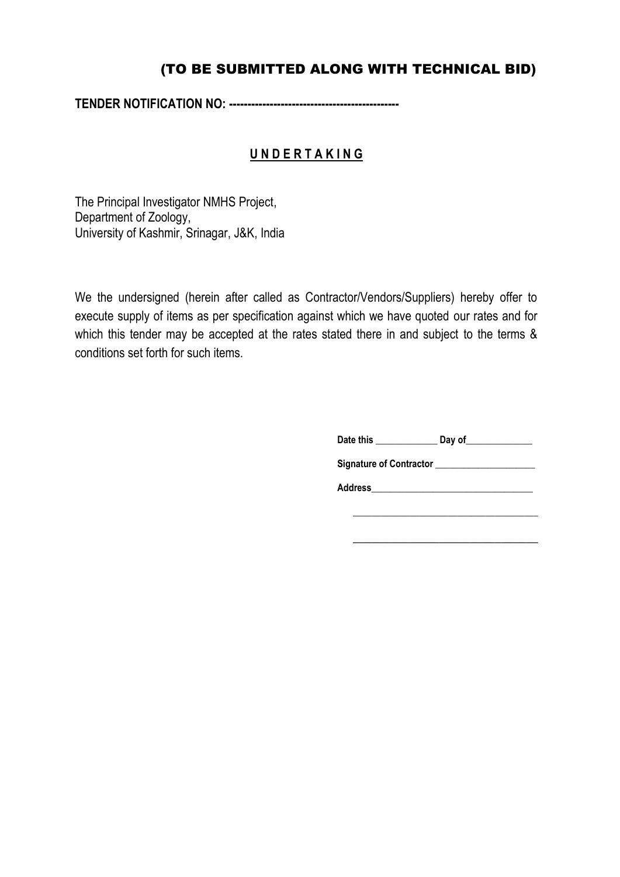## (TO BE SUBMITTED ALONG WITH TECHNICAL BID)

**TENDER NOTIFICATION NO: ----------------------------------------------**

### **U N D E R T A K I N G**

The Principal Investigator NMHS Project, Department of Zoology, University of Kashmir, Srinagar, J&K, India

We the undersigned (herein after called as Contractor/Vendors/Suppliers) hereby offer to execute supply of items as per specification against which we have quoted our rates and for which this tender may be accepted at the rates stated there in and subject to the terms & conditions set forth for such items.

**Date this \_\_\_\_\_\_\_\_\_\_\_\_\_ Day of\_\_\_\_\_\_\_\_\_\_\_\_\_\_** 

Signature of Contractor \_\_\_\_\_\_\_\_\_\_\_\_\_\_\_\_\_\_\_

**Address\_\_\_\_\_\_\_\_\_\_\_\_\_\_\_\_\_\_\_\_\_\_\_\_\_\_\_\_\_\_\_\_\_\_**

\_\_\_\_\_\_\_\_\_\_\_\_\_\_\_\_\_\_\_\_\_\_\_\_\_\_\_\_\_\_\_\_\_\_\_\_\_\_\_

\_\_\_\_\_\_\_\_\_\_\_\_\_\_\_\_\_\_\_\_\_\_\_\_\_\_\_\_\_\_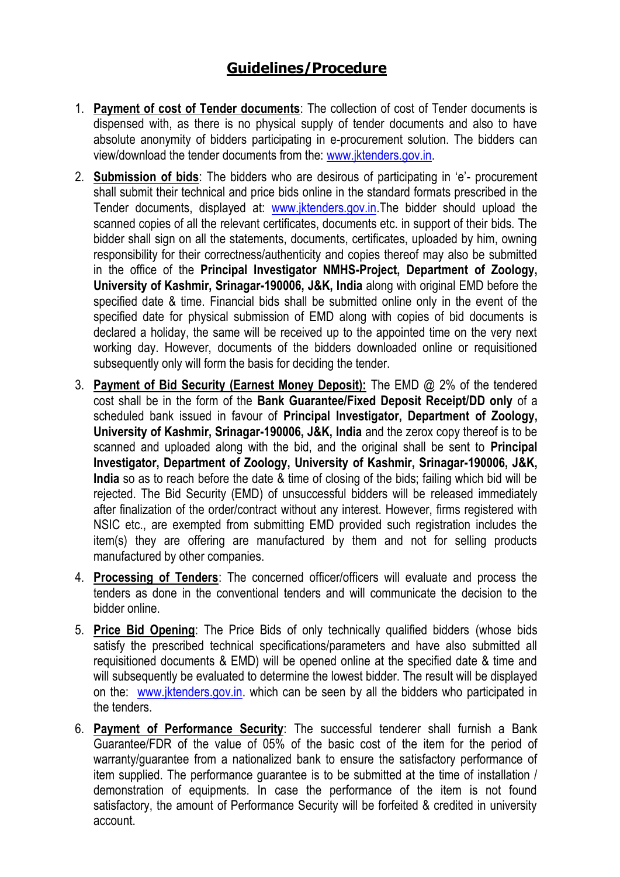# **Guidelines/Procedure**

- 1. **Payment of cost of Tender documents**: The collection of cost of Tender documents is dispensed with, as there is no physical supply of tender documents and also to have absolute anonymity of bidders participating in e-procurement solution. The bidders can view/download the tender documents from the: [www.jktenders.gov.in.](http://www.jktenders.gov.in/)
- 2. **Submission of bids**: The bidders who are desirous of participating in 'e'- procurement shall submit their technical and price bids online in the standard formats prescribed in the Tender documents, displayed at: [www.jktenders.gov.in.](http://www.jktenders.gov.in/)The bidder should upload the scanned copies of all the relevant certificates, documents etc. in support of their bids. The bidder shall sign on all the statements, documents, certificates, uploaded by him, owning responsibility for their correctness/authenticity and copies thereof may also be submitted in the office of the **Principal Investigator NMHS-Project, Department of Zoology, University of Kashmir, Srinagar-190006, J&K, India** along with original EMD before the specified date & time. Financial bids shall be submitted online only in the event of the specified date for physical submission of EMD along with copies of bid documents is declared a holiday, the same will be received up to the appointed time on the very next working day. However, documents of the bidders downloaded online or requisitioned subsequently only will form the basis for deciding the tender.
- 3. **Payment of Bid Security (Earnest Money Deposit):** The EMD @ 2% of the tendered cost shall be in the form of the **Bank Guarantee/Fixed Deposit Receipt/DD only** of a scheduled bank issued in favour of **Principal Investigator, Department of Zoology, University of Kashmir, Srinagar-190006, J&K, India** and the zerox copy thereof is to be scanned and uploaded along with the bid, and the original shall be sent to **Principal Investigator, Department of Zoology, University of Kashmir, Srinagar-190006, J&K, India** so as to reach before the date & time of closing of the bids; failing which bid will be rejected. The Bid Security (EMD) of unsuccessful bidders will be released immediately after finalization of the order/contract without any interest. However, firms registered with NSIC etc., are exempted from submitting EMD provided such registration includes the item(s) they are offering are manufactured by them and not for selling products manufactured by other companies.
- 4. **Processing of Tenders**: The concerned officer/officers will evaluate and process the tenders as done in the conventional tenders and will communicate the decision to the bidder online.
- 5. **Price Bid Opening**: The Price Bids of only technically qualified bidders (whose bids satisfy the prescribed technical specifications/parameters and have also submitted all requisitioned documents & EMD) will be opened online at the specified date & time and will subsequently be evaluated to determine the lowest bidder. The result will be displayed on the: [www.jktenders.gov.in.](http://delhi.govtprocurement.com/) which can be seen by all the bidders who participated in the tenders.
- 6. **Payment of Performance Security**: The successful tenderer shall furnish a Bank Guarantee/FDR of the value of 05% of the basic cost of the item for the period of warranty/guarantee from a nationalized bank to ensure the satisfactory performance of item supplied. The performance guarantee is to be submitted at the time of installation / demonstration of equipments. In case the performance of the item is not found satisfactory, the amount of Performance Security will be forfeited & credited in university account.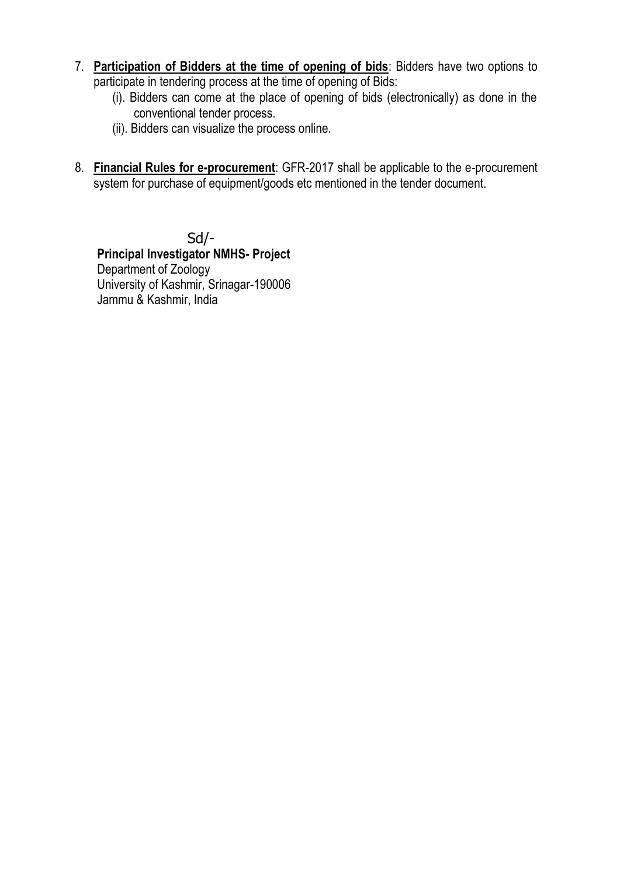- 7. **Participation of Bidders at the time of opening of bids**: Bidders have two options to participate in tendering process at the time of opening of Bids:
	- (i). Bidders can come at the place of opening of bids (electronically) as done in the conventional tender process.
	- (ii). Bidders can visualize the process online.
- 8. **Financial Rules for e-procurement**: GFR-2017 shall be applicable to the e-procurement system for purchase of equipment/goods etc mentioned in the tender document.

Sd/- **Principal Investigator NMHS- Project** Department of Zoology University of Kashmir, Srinagar-190006 Jammu & Kashmir, India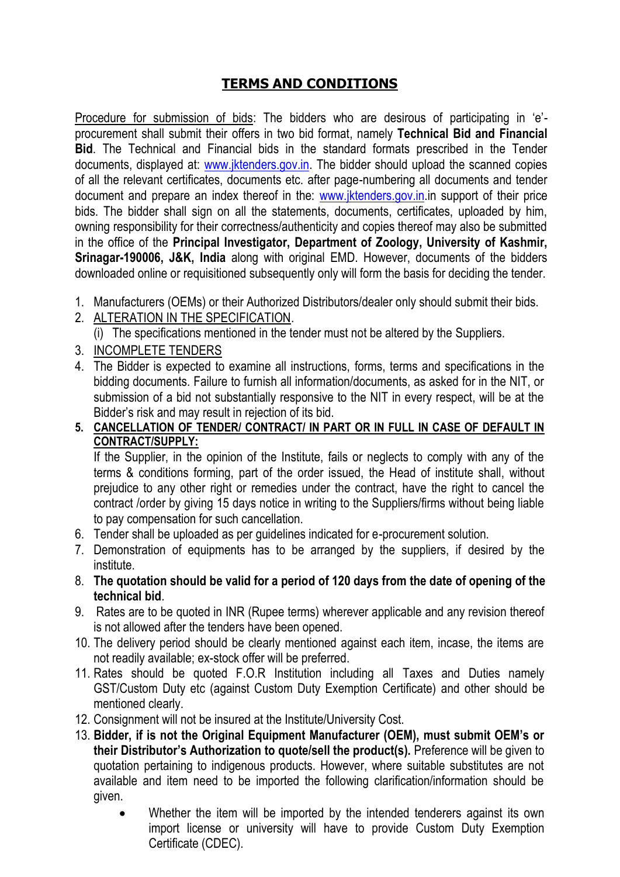### **TERMS AND CONDITIONS**

Procedure for submission of bids: The bidders who are desirous of participating in 'e' procurement shall submit their offers in two bid format, namely **Technical Bid and Financial Bid**. The Technical and Financial bids in the standard formats prescribed in the Tender documents, displayed at: [www.jktenders.gov.in.](http://www.jktenders.gov.in/) The bidder should upload the scanned copies of all the relevant certificates, documents etc. after page-numbering all documents and tender document and prepare an index thereof in the: [www.jktenders.gov.in.](http://www.jktenders.gov.in/)in support of their price bids. The bidder shall sign on all the statements, documents, certificates, uploaded by him, owning responsibility for their correctness/authenticity and copies thereof may also be submitted in the office of the **Principal Investigator, Department of Zoology, University of Kashmir, Srinagar-190006, J&K, India** along with original EMD. However, documents of the bidders downloaded online or requisitioned subsequently only will form the basis for deciding the tender.

- 1. Manufacturers (OEMs) or their Authorized Distributors/dealer only should submit their bids.
- 2. ALTERATION IN THE SPECIFICATION.

(i) The specifications mentioned in the tender must not be altered by the Suppliers.

- 3. INCOMPLETE TENDERS
- 4. The Bidder is expected to examine all instructions, forms, terms and specifications in the bidding documents. Failure to furnish all information/documents, as asked for in the NIT, or submission of a bid not substantially responsive to the NIT in every respect, will be at the Bidder's risk and may result in rejection of its bid.

#### **5. CANCELLATION OF TENDER/ CONTRACT/ IN PART OR IN FULL IN CASE OF DEFAULT IN CONTRACT/SUPPLY:**

If the Supplier, in the opinion of the Institute, fails or neglects to comply with any of the terms & conditions forming, part of the order issued, the Head of institute shall, without prejudice to any other right or remedies under the contract, have the right to cancel the contract /order by giving 15 days notice in writing to the Suppliers/firms without being liable to pay compensation for such cancellation.

- 6. Tender shall be uploaded as per guidelines indicated for e-procurement solution.
- 7. Demonstration of equipments has to be arranged by the suppliers, if desired by the institute.
- 8. **The quotation should be valid for a period of 120 days from the date of opening of the technical bid**.
- 9. Rates are to be quoted in INR (Rupee terms) wherever applicable and any revision thereof is not allowed after the tenders have been opened.
- 10. The delivery period should be clearly mentioned against each item, incase, the items are not readily available; ex-stock offer will be preferred.
- 11. Rates should be quoted F.O.R Institution including all Taxes and Duties namely GST/Custom Duty etc (against Custom Duty Exemption Certificate) and other should be mentioned clearly.
- 12. Consignment will not be insured at the Institute/University Cost.
- 13. **Bidder, if is not the Original Equipment Manufacturer (OEM), must submit OEM's or their Distributor's Authorization to quote/sell the product(s).** Preference will be given to quotation pertaining to indigenous products. However, where suitable substitutes are not available and item need to be imported the following clarification/information should be given.
	- Whether the item will be imported by the intended tenderers against its own import license or university will have to provide Custom Duty Exemption Certificate (CDEC).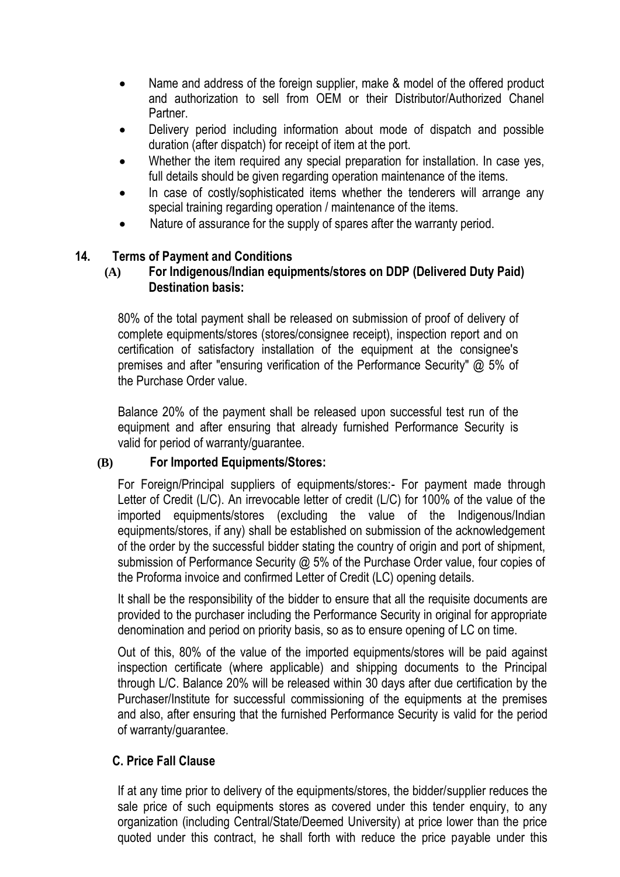- Name and address of the foreign supplier, make & model of the offered product and authorization to sell from OEM or their Distributor/Authorized Chanel Partner.
- Delivery period including information about mode of dispatch and possible duration (after dispatch) for receipt of item at the port.
- Whether the item required any special preparation for installation. In case yes, full details should be given regarding operation maintenance of the items.
- In case of costly/sophisticated items whether the tenderers will arrange any special training regarding operation / maintenance of the items.
- Nature of assurance for the supply of spares after the warranty period.

#### **14. Terms of Payment and Conditions**

#### **(A) For Indigenous/Indian equipments/stores on DDP (Delivered Duty Paid) Destination basis:**

80% of the total payment shall be released on submission of proof of delivery of complete equipments/stores (stores/consignee receipt), inspection report and on certification of satisfactory installation of the equipment at the consignee's premises and after "ensuring verification of the Performance Security" @ 5% of the Purchase Order value.

Balance 20% of the payment shall be released upon successful test run of the equipment and after ensuring that already furnished Performance Security is valid for period of warranty/guarantee.

#### **(B) For Imported Equipments/Stores:**

For Foreign/Principal suppliers of equipments/stores:- For payment made through Letter of Credit (L/C). An irrevocable letter of credit (L/C) for 100% of the value of the imported equipments/stores (excluding the value of the Indigenous/Indian equipments/stores, if any) shall be established on submission of the acknowledgement of the order by the successful bidder stating the country of origin and port of shipment, submission of Performance Security @ 5% of the Purchase Order value, four copies of the Proforma invoice and confirmed Letter of Credit (LC) opening details.

It shall be the responsibility of the bidder to ensure that all the requisite documents are provided to the purchaser including the Performance Security in original for appropriate denomination and period on priority basis, so as to ensure opening of LC on time.

Out of this, 80% of the value of the imported equipments/stores will be paid against inspection certificate (where applicable) and shipping documents to the Principal through L/C. Balance 20% will be released within 30 days after due certification by the Purchaser/Institute for successful commissioning of the equipments at the premises and also, after ensuring that the furnished Performance Security is valid for the period of warranty/guarantee.

### **C. Price Fall Clause**

If at any time prior to delivery of the equipments/stores, the bidder/supplier reduces the sale price of such equipments stores as covered under this tender enquiry, to any organization (including Central/State/Deemed University) at price lower than the price quoted under this contract, he shall forth with reduce the price payable under this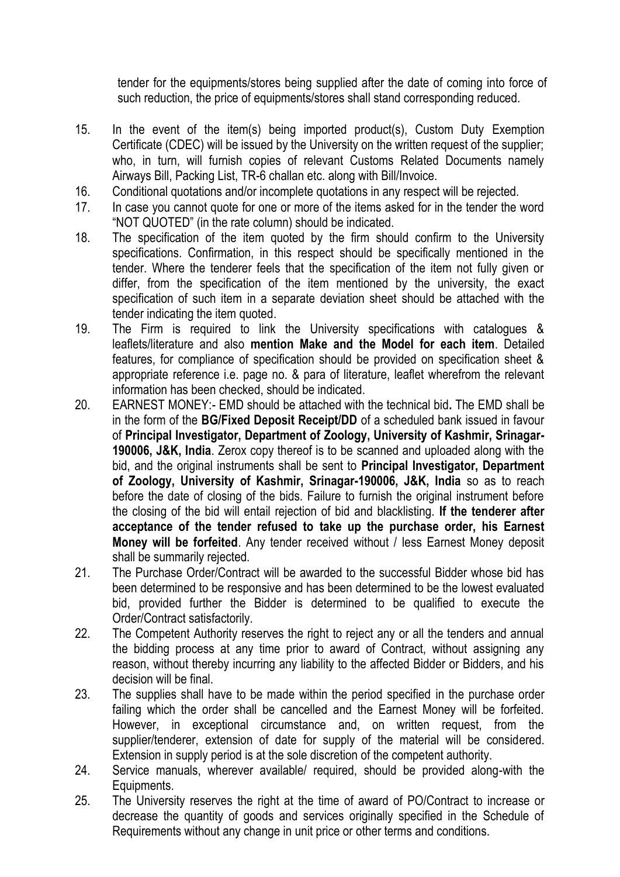tender for the equipments/stores being supplied after the date of coming into force of such reduction, the price of equipments/stores shall stand corresponding reduced.

- 15. In the event of the item(s) being imported product(s), Custom Duty Exemption Certificate (CDEC) will be issued by the University on the written request of the supplier; who, in turn, will furnish copies of relevant Customs Related Documents namely Airways Bill, Packing List, TR-6 challan etc. along with Bill/Invoice.
- 16. Conditional quotations and/or incomplete quotations in any respect will be rejected.
- 17. In case you cannot quote for one or more of the items asked for in the tender the word "NOT QUOTED" (in the rate column) should be indicated.
- 18. The specification of the item quoted by the firm should confirm to the University specifications. Confirmation, in this respect should be specifically mentioned in the tender. Where the tenderer feels that the specification of the item not fully given or differ, from the specification of the item mentioned by the university, the exact specification of such item in a separate deviation sheet should be attached with the tender indicating the item quoted.
- 19. The Firm is required to link the University specifications with catalogues & leaflets/literature and also **mention Make and the Model for each item**. Detailed features, for compliance of specification should be provided on specification sheet & appropriate reference i.e. page no. & para of literature, leaflet wherefrom the relevant information has been checked, should be indicated.
- 20. EARNEST MONEY:- EMD should be attached with the technical bid**.** The EMD shall be in the form of the **BG/Fixed Deposit Receipt/DD** of a scheduled bank issued in favour of **Principal Investigator, Department of Zoology, University of Kashmir, Srinagar-190006, J&K, India**. Zerox copy thereof is to be scanned and uploaded along with the bid, and the original instruments shall be sent to **Principal Investigator, Department of Zoology, University of Kashmir, Srinagar-190006, J&K, India** so as to reach before the date of closing of the bids. Failure to furnish the original instrument before the closing of the bid will entail rejection of bid and blacklisting. **If the tenderer after acceptance of the tender refused to take up the purchase order, his Earnest Money will be forfeited**. Any tender received without / less Earnest Money deposit shall be summarily rejected.
- 21. The Purchase Order/Contract will be awarded to the successful Bidder whose bid has been determined to be responsive and has been determined to be the lowest evaluated bid, provided further the Bidder is determined to be qualified to execute the Order/Contract satisfactorily.
- 22. The Competent Authority reserves the right to reject any or all the tenders and annual the bidding process at any time prior to award of Contract, without assigning any reason, without thereby incurring any liability to the affected Bidder or Bidders, and his decision will be final.
- 23. The supplies shall have to be made within the period specified in the purchase order failing which the order shall be cancelled and the Earnest Money will be forfeited. However, in exceptional circumstance and, on written request, from the supplier/tenderer, extension of date for supply of the material will be considered. Extension in supply period is at the sole discretion of the competent authority.
- 24. Service manuals, wherever available/ required, should be provided along-with the Equipments.
- 25. The University reserves the right at the time of award of PO/Contract to increase or decrease the quantity of goods and services originally specified in the Schedule of Requirements without any change in unit price or other terms and conditions.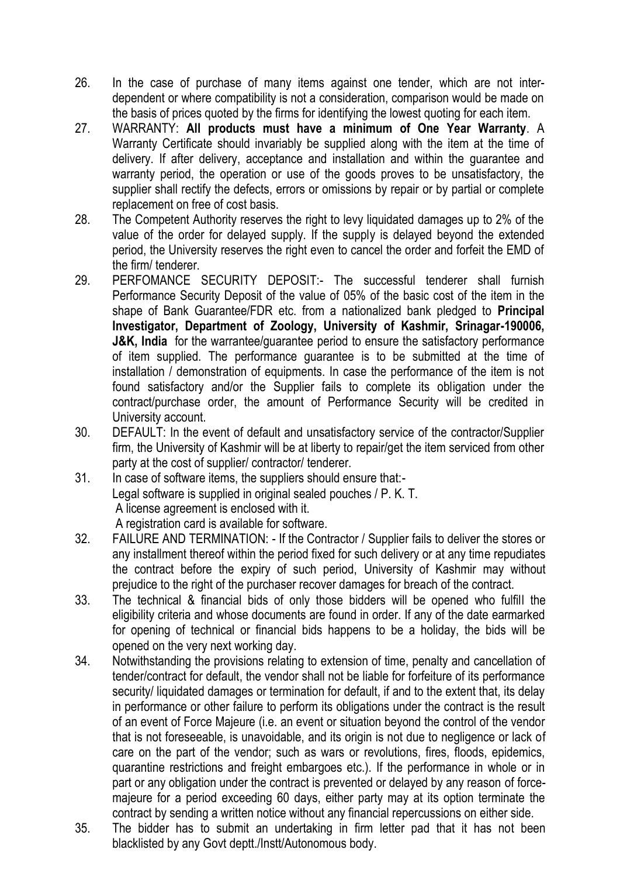- 26. In the case of purchase of many items against one tender, which are not interdependent or where compatibility is not a consideration, comparison would be made on the basis of prices quoted by the firms for identifying the lowest quoting for each item.
- 27. WARRANTY: **All products must have a minimum of One Year Warranty**. A Warranty Certificate should invariably be supplied along with the item at the time of delivery. If after delivery, acceptance and installation and within the guarantee and warranty period, the operation or use of the goods proves to be unsatisfactory, the supplier shall rectify the defects, errors or omissions by repair or by partial or complete replacement on free of cost basis.
- 28. The Competent Authority reserves the right to levy liquidated damages up to 2% of the value of the order for delayed supply. If the supply is delayed beyond the extended period, the University reserves the right even to cancel the order and forfeit the EMD of the firm/ tenderer.
- 29. PERFOMANCE SECURITY DEPOSIT:- The successful tenderer shall furnish Performance Security Deposit of the value of 05% of the basic cost of the item in the shape of Bank Guarantee/FDR etc. from a nationalized bank pledged to **Principal Investigator, Department of Zoology, University of Kashmir, Srinagar-190006, J&K, India** for the warrantee/quarantee period to ensure the satisfactory performance of item supplied. The performance guarantee is to be submitted at the time of installation / demonstration of equipments. In case the performance of the item is not found satisfactory and/or the Supplier fails to complete its obligation under the contract/purchase order, the amount of Performance Security will be credited in University account.
- 30. DEFAULT: In the event of default and unsatisfactory service of the contractor/Supplier firm, the University of Kashmir will be at liberty to repair/get the item serviced from other party at the cost of supplier/ contractor/ tenderer.
- 31. In case of software items, the suppliers should ensure that:- Legal software is supplied in original sealed pouches / P. K. T. A license agreement is enclosed with it. A registration card is available for software.
- 32. FAILURE AND TERMINATION: If the Contractor / Supplier fails to deliver the stores or any installment thereof within the period fixed for such delivery or at any time repudiates the contract before the expiry of such period, University of Kashmir may without prejudice to the right of the purchaser recover damages for breach of the contract.
- 33. The technical & financial bids of only those bidders will be opened who fulfill the eligibility criteria and whose documents are found in order. If any of the date earmarked for opening of technical or financial bids happens to be a holiday, the bids will be opened on the very next working day.
- 34. Notwithstanding the provisions relating to extension of time, penalty and cancellation of tender/contract for default, the vendor shall not be liable for forfeiture of its performance security/ liquidated damages or termination for default, if and to the extent that, its delay in performance or other failure to perform its obligations under the contract is the result of an event of Force Majeure (i.e. an event or situation beyond the control of the vendor that is not foreseeable, is unavoidable, and its origin is not due to negligence or lack of care on the part of the vendor; such as wars or revolutions, fires, floods, epidemics, quarantine restrictions and freight embargoes etc.). If the performance in whole or in part or any obligation under the contract is prevented or delayed by any reason of forcemajeure for a period exceeding 60 days, either party may at its option terminate the contract by sending a written notice without any financial repercussions on either side.
- 35. The bidder has to submit an undertaking in firm letter pad that it has not been blacklisted by any Govt deptt./Instt/Autonomous body.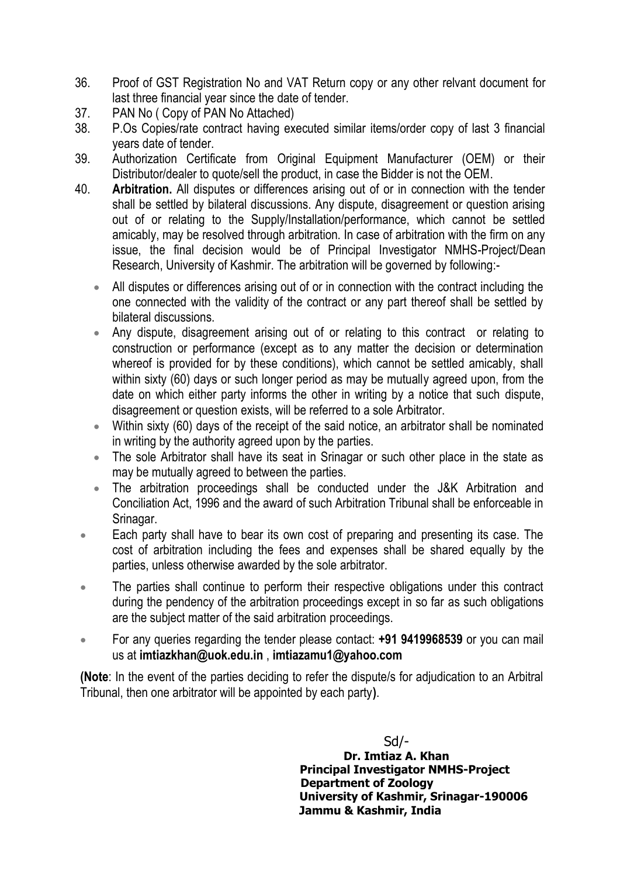- 36. Proof of GST Registration No and VAT Return copy or any other relvant document for last three financial year since the date of tender.
- 37. PAN No ( Copy of PAN No Attached)
- 38. P.Os Copies/rate contract having executed similar items/order copy of last 3 financial years date of tender.
- 39. Authorization Certificate from Original Equipment Manufacturer (OEM) or their Distributor/dealer to quote/sell the product, in case the Bidder is not the OEM.
- 40. **Arbitration.** All disputes or differences arising out of or in connection with the tender shall be settled by bilateral discussions. Any dispute, disagreement or question arising out of or relating to the Supply/Installation/performance, which cannot be settled amicably, may be resolved through arbitration. In case of arbitration with the firm on any issue, the final decision would be of Principal Investigator NMHS-Project/Dean Research, University of Kashmir. The arbitration will be governed by following:-
	- All disputes or differences arising out of or in connection with the contract including the one connected with the validity of the contract or any part thereof shall be settled by bilateral discussions.
	- Any dispute, disagreement arising out of or relating to this contract or relating to construction or performance (except as to any matter the decision or determination whereof is provided for by these conditions), which cannot be settled amicably, shall within sixty (60) days or such longer period as may be mutually agreed upon, from the date on which either party informs the other in writing by a notice that such dispute, disagreement or question exists, will be referred to a sole Arbitrator.
	- Within sixty (60) days of the receipt of the said notice, an arbitrator shall be nominated in writing by the authority agreed upon by the parties.
	- The sole Arbitrator shall have its seat in Srinagar or such other place in the state as may be mutually agreed to between the parties.
	- The arbitration proceedings shall be conducted under the J&K Arbitration and Conciliation Act, 1996 and the award of such Arbitration Tribunal shall be enforceable in Srinagar.
	- **Each party shall have to bear its own cost of preparing and presenting its case. The** cost of arbitration including the fees and expenses shall be shared equally by the parties, unless otherwise awarded by the sole arbitrator.
	- The parties shall continue to perform their respective obligations under this contract during the pendency of the arbitration proceedings except in so far as such obligations are the subject matter of the said arbitration proceedings.
	- For any queries regarding the tender please contact: **+91 9419968539** or you can mail us at **imtiazkhan@uok.edu.in** , **imtiazamu1@yahoo.com**

**(Note**: In the event of the parties deciding to refer the dispute/s for adjudication to an Arbitral Tribunal, then one arbitrator will be appointed by each party**)**.

> Sd/-  **Dr. Imtiaz A. Khan Principal Investigator NMHS-Project Department of Zoology University of Kashmir, Srinagar-190006 Jammu & Kashmir, India**